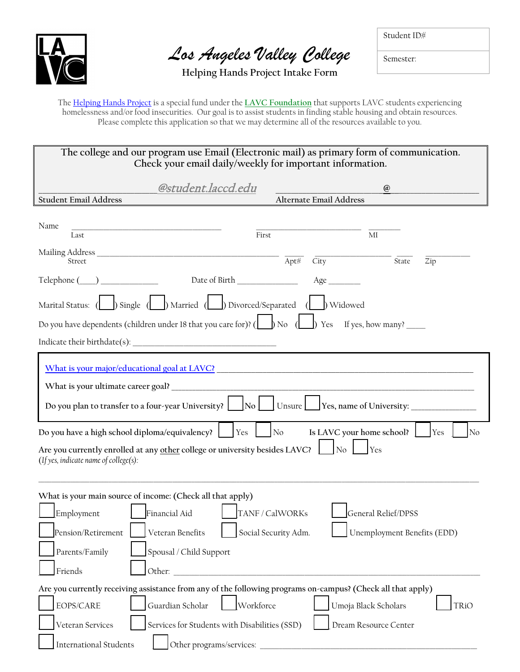

*Los Angeles Valley College*

Student ID#

Semester:

**Helping Hands Project Intake Form**

The [Helping Hands Project](http://www.lavc.edu/calworks/helping-hands-project) is a special fund under the **[LAVC Foundation](http://www.lavcfoundation.org/)** that supports LAVC students experiencing homelessness and/or food insecurities. Our goal is to assist students in finding stable housing and obtain resources. Please complete this application so that we may determine all of the resources available to you.

| The college and our program use Email (Electronic mail) as primary form of communication.<br>Check your email daily/weekly for important information. |                                                                                                                                                                                                                                                                                                                                                                                          |                                   |                                                                                                                       |                            |  |  |
|-------------------------------------------------------------------------------------------------------------------------------------------------------|------------------------------------------------------------------------------------------------------------------------------------------------------------------------------------------------------------------------------------------------------------------------------------------------------------------------------------------------------------------------------------------|-----------------------------------|-----------------------------------------------------------------------------------------------------------------------|----------------------------|--|--|
|                                                                                                                                                       |                                                                                                                                                                                                                                                                                                                                                                                          |                                   |                                                                                                                       |                            |  |  |
| <b>Student Email Address</b>                                                                                                                          | @student.laccd.edu                                                                                                                                                                                                                                                                                                                                                                       | Alternate Email Address           | $\omega$                                                                                                              |                            |  |  |
| Name                                                                                                                                                  | <u> 1989 - Johann John Harry, mars and de film and de film and design and design and design and design and design and design and design and design and design and design and design and design and design and design and design </u>                                                                                                                                                     |                                   |                                                                                                                       |                            |  |  |
| Last                                                                                                                                                  | First                                                                                                                                                                                                                                                                                                                                                                                    |                                   | MI                                                                                                                    |                            |  |  |
| Street                                                                                                                                                |                                                                                                                                                                                                                                                                                                                                                                                          | $\overline{\mbox{Apt}\#}$<br>City | State                                                                                                                 | Zip                        |  |  |
| $\text{Telephone} (\_\_\_\_\_\_\_\_\_\_\_\$                                                                                                           |                                                                                                                                                                                                                                                                                                                                                                                          |                                   |                                                                                                                       |                            |  |  |
|                                                                                                                                                       |                                                                                                                                                                                                                                                                                                                                                                                          |                                   |                                                                                                                       |                            |  |  |
|                                                                                                                                                       | Do you have dependents (children under 18 that you care for)? ( $\Box$ ) No ( $\Box$ ) Yes If yes, how many?                                                                                                                                                                                                                                                                             |                                   |                                                                                                                       |                            |  |  |
|                                                                                                                                                       |                                                                                                                                                                                                                                                                                                                                                                                          |                                   |                                                                                                                       |                            |  |  |
| Do you have a high school diploma/equivalency?<br>(If yes, indicate name of college(s):                                                               | What is your major/educational goal at LAVC? Notice and the contract of the contract of the contract of the contract of the contract of the contract of the contract of the contract of the contract of the contract of the co<br>Do you plan to transfer to a four-year University? [CONDING<br>Yes<br>Are you currently enrolled at any other college or university besides LAVC?   No | $\log$                            | Is LAVC your home school?<br>Yes                                                                                      | Yes<br>$\overline{\rm No}$ |  |  |
| Employment<br>Pension/Retirement<br>Parents/Family                                                                                                    | What is your main source of income: (Check all that apply)<br>  TANF / CalWORKs<br>Financial Aid<br>Veteran Benefits<br>Spousal / Child Support                                                                                                                                                                                                                                          | Social Security Adm.              | General Relief/DPSS<br>Unemployment Benefits (EDD)                                                                    |                            |  |  |
| Friends                                                                                                                                               | Other:                                                                                                                                                                                                                                                                                                                                                                                   |                                   |                                                                                                                       |                            |  |  |
|                                                                                                                                                       | Are you currently receiving assistance from any of the following programs on-campus? (Check all that apply)                                                                                                                                                                                                                                                                              |                                   |                                                                                                                       |                            |  |  |
| EOPS/CARE                                                                                                                                             | Guardian Scholar<br>Workforce                                                                                                                                                                                                                                                                                                                                                            |                                   | Umoja Black Scholars                                                                                                  | TRiO                       |  |  |
| Veteran Services                                                                                                                                      | Services for Students with Disabilities (SSD)                                                                                                                                                                                                                                                                                                                                            |                                   | Dream Resource Center                                                                                                 |                            |  |  |
| <b>International Students</b>                                                                                                                         | Other programs/services:                                                                                                                                                                                                                                                                                                                                                                 |                                   | <u> 1989 - Johann John Stone, markin film yn y breninnas y breninnas y breninn y breninn y breninn y breninn y br</u> |                            |  |  |